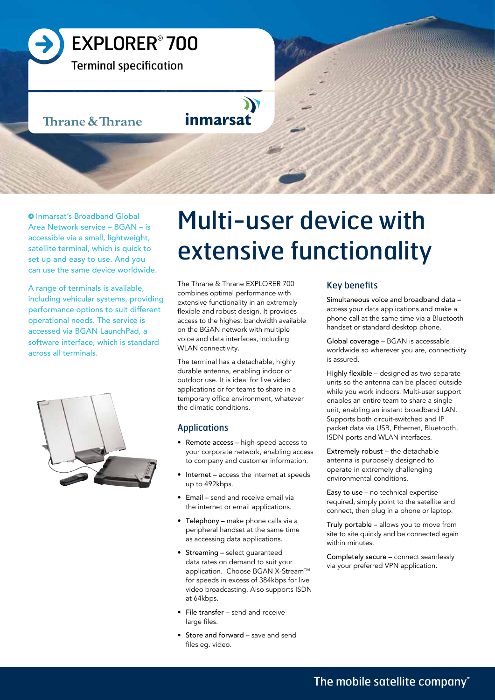

**Q** Inmarsat's Broadband Global Area Network service – BGAN – is accessible via a small, lightweight, satellite terminal, which is quick to set up and easy to use. And you can use the same device worldwide.

A range of terminals is available, including vehicular systems, providing performance options to suit different operational needs. The service is accessed via BGAN LaunchPad, a software interface, which is standard across all terminals.



# Multi-user device with extensive functionality

The Thrane & Thrane EXPLORER 700 combines optimal performance with extensive functionality in an extremely flexible and robust design. It provides access to the highest bandwidth available on the BGAN network with multiple voice and data interfaces, including WLAN connectivity.

The terminal has a detachable, highly durable antenna, enabling indoor or outdoor use. It is ideal for live video applications or for teams to share in a temporary office environment, whatever the climatic conditions.

# Applications

- Remote access high-speed access to your corporate network, enabling access to company and customer information.
- Internet access the internet at speeds up to 492kbps.
- Email send and receive email via the internet or email applications.
- Telephony make phone calls via a peripheral handset at the same time as accessing data applications.
- Streaming select guaranteed data rates on demand to suit your application. Choose BGAN X-Stream™ for speeds in excess of 384kbps for live video broadcasting. Also supports ISDN at 64kbps.
- File transfer send and receive large files.
- Store and forward save and send files eg. video.

# Key benefits

Simultaneous voice and broadband data – access your data applications and make a phone call at the same time via a Bluetooth handset or standard desktop phone.

Global coverage – BGAN is accessable worldwide so wherever you are, connectivity is assured.

Highly flexible – designed as two separate units so the antenna can be placed outside while you work indoors. Multi-user support enables an entire team to share a single unit, enabling an instant broadband LAN. Supports both circuit-switched and IP packet data via USB, Ethernet, Bluetooth, ISDN ports and WLAN interfaces.

Extremely robust – the detachable antenna is purposely designed to operate in extremely challenging environmental conditions.

Easy to use – no technical expertise required, simply point to the satellite and connect, then plug in a phone or laptop.

Truly portable – allows you to move from site to site quickly and be connected again within minutes.

Completely secure – connect seamlessly via your preferred VPN application.